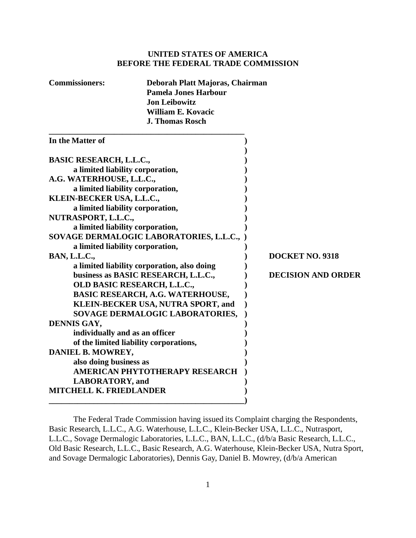## **UNITED STATES OF AMERICA BEFORE THE FEDERAL TRADE COMMISSION**

| <b>Commissioners:</b> | Deborah Platt Majoras, Chairman |
|-----------------------|---------------------------------|
|                       | <b>Pamela Jones Harbour</b>     |
|                       | <b>Jon Leibowitz</b>            |
|                       | William E. Kovacic              |
|                       | <b>J. Thomas Rosch</b>          |
|                       |                                 |

| In the Matter of                            |                           |
|---------------------------------------------|---------------------------|
| <b>BASIC RESEARCH, L.L.C.,</b>              |                           |
| a limited liability corporation,            |                           |
| A.G. WATERHOUSE, L.L.C.,                    |                           |
| a limited liability corporation,            |                           |
| KLEIN-BECKER USA, L.L.C.,                   |                           |
| a limited liability corporation,            |                           |
| NUTRASPORT, L.L.C.,                         |                           |
| a limited liability corporation,            |                           |
|                                             |                           |
| SOVAGE DERMALOGIC LABORATORIES, L.L.C., )   |                           |
| a limited liability corporation,            |                           |
| <b>BAN, L.L.C.,</b>                         | <b>DOCKET NO. 9318</b>    |
| a limited liability corporation, also doing |                           |
| business as BASIC RESEARCH, L.L.C.,         | <b>DECISION AND ORDER</b> |
| OLD BASIC RESEARCH, L.L.C.,                 |                           |
| <b>BASIC RESEARCH, A.G. WATERHOUSE,</b>     |                           |
| KLEIN-BECKER USA, NUTRA SPORT, and          |                           |
| SOVAGE DERMALOGIC LABORATORIES,             |                           |
| DENNIS GAY,                                 |                           |
| individually and as an officer              |                           |
| of the limited liability corporations,      |                           |
| DANIEL B. MOWREY,                           |                           |
| also doing business as                      |                           |
| AMERICAN PHYTOTHERAPY RESEARCH              |                           |
|                                             |                           |
| <b>LABORATORY</b> , and                     |                           |
| <b>MITCHELL K. FRIEDLANDER</b>              |                           |
|                                             |                           |

The Federal Trade Commission having issued its Complaint charging the Respondents, Basic Research, L.L.C., A.G. Waterhouse, L.L.C., Klein-Becker USA, L.L.C., Nutrasport, L.L.C., Sovage Dermalogic Laboratories, L.L.C., BAN, L.L.C., (d/b/a Basic Research, L.L.C., Old Basic Research, L.L.C., Basic Research, A.G. Waterhouse, Klein-Becker USA, Nutra Sport, and Sovage Dermalogic Laboratories), Dennis Gay, Daniel B. Mowrey, (d/b/a American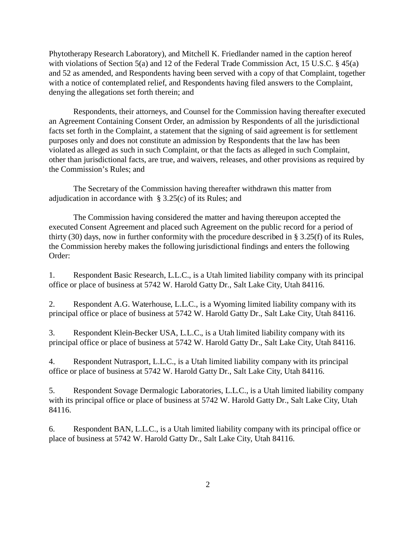Phytotherapy Research Laboratory), and Mitchell K. Friedlander named in the caption hereof with violations of Section 5(a) and 12 of the Federal Trade Commission Act, 15 U.S.C. § 45(a) and 52 as amended, and Respondents having been served with a copy of that Complaint, together with a notice of contemplated relief, and Respondents having filed answers to the Complaint, denying the allegations set forth therein; and

Respondents, their attorneys, and Counsel for the Commission having thereafter executed an Agreement Containing Consent Order, an admission by Respondents of all the jurisdictional facts set forth in the Complaint, a statement that the signing of said agreement is for settlement purposes only and does not constitute an admission by Respondents that the law has been violated as alleged as such in such Complaint, or that the facts as alleged in such Complaint, other than jurisdictional facts, are true, and waivers, releases, and other provisions as required by the Commission's Rules; and

The Secretary of the Commission having thereafter withdrawn this matter from adjudication in accordance with  $\S$  3.25(c) of its Rules; and

The Commission having considered the matter and having thereupon accepted the executed Consent Agreement and placed such Agreement on the public record for a period of thirty (30) days, now in further conformity with the procedure described in § 3.25(f) of its Rules, the Commission hereby makes the following jurisdictional findings and enters the following Order:

1. Respondent Basic Research, L.L.C., is a Utah limited liability company with its principal office or place of business at 5742 W. Harold Gatty Dr., Salt Lake City, Utah 84116.

2. Respondent A.G. Waterhouse, L.L.C., is a Wyoming limited liability company with its principal office or place of business at 5742 W. Harold Gatty Dr., Salt Lake City, Utah 84116.

3. Respondent Klein-Becker USA, L.L.C., is a Utah limited liability company with its principal office or place of business at 5742 W. Harold Gatty Dr., Salt Lake City, Utah 84116.

4. Respondent Nutrasport, L.L.C., is a Utah limited liability company with its principal office or place of business at 5742 W. Harold Gatty Dr., Salt Lake City, Utah 84116.

5. Respondent Sovage Dermalogic Laboratories, L.L.C., is a Utah limited liability company with its principal office or place of business at 5742 W. Harold Gatty Dr., Salt Lake City, Utah 84116.

6. Respondent BAN, L.L.C., is a Utah limited liability company with its principal office or place of business at 5742 W. Harold Gatty Dr., Salt Lake City, Utah 84116.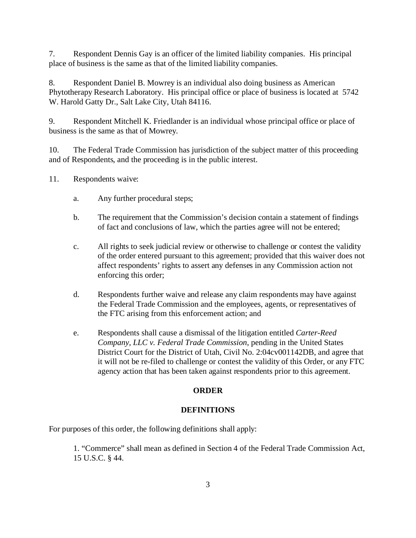7. Respondent Dennis Gay is an officer of the limited liability companies. His principal place of business is the same as that of the limited liability companies.

8. Respondent Daniel B. Mowrey is an individual also doing business as American Phytotherapy Research Laboratory. His principal office or place of business is located at 5742 W. Harold Gatty Dr., Salt Lake City, Utah 84116.

9. Respondent Mitchell K. Friedlander is an individual whose principal office or place of business is the same as that of Mowrey.

10. The Federal Trade Commission has jurisdiction of the subject matter of this proceeding and of Respondents, and the proceeding is in the public interest.

- 11. Respondents waive:
	- a. Any further procedural steps;
	- b. The requirement that the Commission's decision contain a statement of findings of fact and conclusions of law, which the parties agree will not be entered;
	- c. All rights to seek judicial review or otherwise to challenge or contest the validity of the order entered pursuant to this agreement; provided that this waiver does not affect respondents' rights to assert any defenses in any Commission action not enforcing this order;
	- d. Respondents further waive and release any claim respondents may have against the Federal Trade Commission and the employees, agents, or representatives of the FTC arising from this enforcement action; and
	- e. Respondents shall cause a dismissal of the litigation entitled *Carter-Reed Company, LLC v. Federal Trade Commission*, pending in the United States District Court for the District of Utah, Civil No. 2:04cv001142DB, and agree that it will not be re-filed to challenge or contest the validity of this Order, or any FTC agency action that has been taken against respondents prior to this agreement.

# **ORDER**

# **DEFINITIONS**

For purposes of this order, the following definitions shall apply:

1. "Commerce" shall mean as defined in Section 4 of the Federal Trade Commission Act, 15 U.S.C. § 44.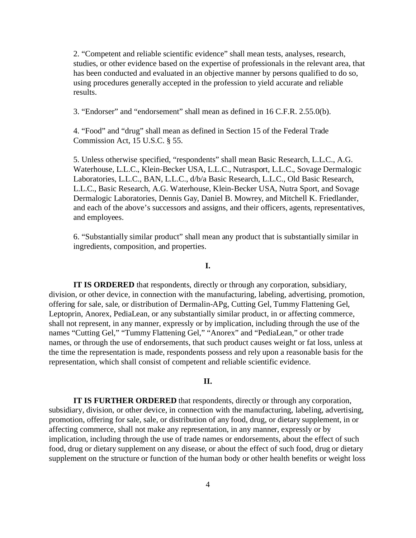2. "Competent and reliable scientific evidence" shall mean tests, analyses, research, studies, or other evidence based on the expertise of professionals in the relevant area, that has been conducted and evaluated in an objective manner by persons qualified to do so, using procedures generally accepted in the profession to yield accurate and reliable results.

3. "Endorser" and "endorsement" shall mean as defined in 16 C.F.R. 2.55.0(b).

4. "Food" and "drug" shall mean as defined in Section 15 of the Federal Trade Commission Act, 15 U.S.C. § 55.

5. Unless otherwise specified, "respondents" shall mean Basic Research, L.L.C., A.G. Waterhouse, L.L.C., Klein-Becker USA, L.L.C., Nutrasport, L.L.C., Sovage Dermalogic Laboratories, L.L.C., BAN, L.L.C., d/b/a Basic Research, L.L.C., Old Basic Research, L.L.C., Basic Research, A.G. Waterhouse, Klein-Becker USA, Nutra Sport, and Sovage Dermalogic Laboratories, Dennis Gay, Daniel B. Mowrey, and Mitchell K. Friedlander, and each of the above's successors and assigns, and their officers, agents, representatives, and employees.

6. "Substantially similar product" shall mean any product that is substantially similar in ingredients, composition, and properties.

## **I.**

**IT IS ORDERED** that respondents, directly or through any corporation, subsidiary, division, or other device, in connection with the manufacturing, labeling, advertising, promotion, offering for sale, sale, or distribution of Dermalin-APg, Cutting Gel, Tummy Flattening Gel, Leptoprin, Anorex, PediaLean, or any substantially similar product, in or affecting commerce, shall not represent, in any manner, expressly or by implication, including through the use of the names "Cutting Gel," "Tummy Flattening Gel," "Anorex" and "PediaLean," or other trade names, or through the use of endorsements, that such product causes weight or fat loss, unless at the time the representation is made, respondents possess and rely upon a reasonable basis for the representation, which shall consist of competent and reliable scientific evidence.

## **II.**

**IT IS FURTHER ORDERED** that respondents, directly or through any corporation, subsidiary, division, or other device, in connection with the manufacturing, labeling, advertising, promotion, offering for sale, sale, or distribution of any food, drug, or dietary supplement, in or affecting commerce, shall not make any representation, in any manner, expressly or by implication, including through the use of trade names or endorsements, about the effect of such food, drug or dietary supplement on any disease, or about the effect of such food, drug or dietary supplement on the structure or function of the human body or other health benefits or weight loss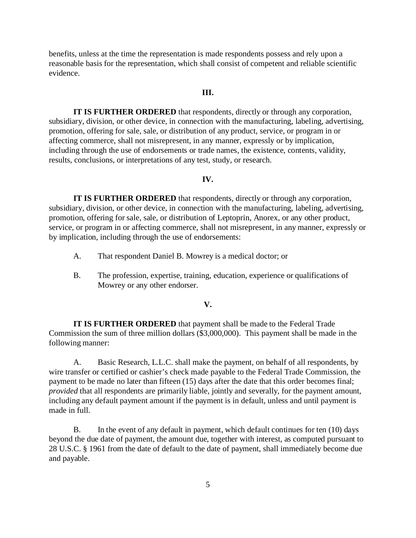benefits, unless at the time the representation is made respondents possess and rely upon a reasonable basis for the representation, which shall consist of competent and reliable scientific evidence.

#### **III.**

**IT IS FURTHER ORDERED** that respondents, directly or through any corporation, subsidiary, division, or other device, in connection with the manufacturing, labeling, advertising, promotion, offering for sale, sale, or distribution of any product, service, or program in or affecting commerce, shall not misrepresent, in any manner, expressly or by implication, including through the use of endorsements or trade names, the existence, contents, validity, results, conclusions, or interpretations of any test, study, or research.

### **IV.**

**IT IS FURTHER ORDERED** that respondents, directly or through any corporation, subsidiary, division, or other device, in connection with the manufacturing, labeling, advertising, promotion, offering for sale, sale, or distribution of Leptoprin, Anorex, or any other product, service, or program in or affecting commerce, shall not misrepresent, in any manner, expressly or by implication, including through the use of endorsements:

- A. That respondent Daniel B. Mowrey is a medical doctor; or
- B. The profession, expertise, training, education, experience or qualifications of Mowrey or any other endorser.

#### **V.**

**IT IS FURTHER ORDERED** that payment shall be made to the Federal Trade Commission the sum of three million dollars (\$3,000,000). This payment shall be made in the following manner:

A. Basic Research, L.L.C. shall make the payment, on behalf of all respondents, by wire transfer or certified or cashier's check made payable to the Federal Trade Commission, the payment to be made no later than fifteen (15) days after the date that this order becomes final; *provided* that all respondents are primarily liable, jointly and severally, for the payment amount, including any default payment amount if the payment is in default, unless and until payment is made in full.

B. In the event of any default in payment, which default continues for ten (10) days beyond the due date of payment, the amount due, together with interest, as computed pursuant to 28 U.S.C. § 1961 from the date of default to the date of payment, shall immediately become due and payable.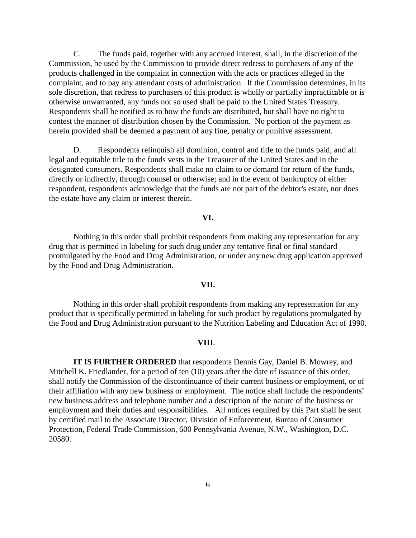C. The funds paid, together with any accrued interest, shall, in the discretion of the Commission, be used by the Commission to provide direct redress to purchasers of any of the products challenged in the complaint in connection with the acts or practices alleged in the complaint, and to pay any attendant costs of administration. If the Commission determines, in its sole discretion, that redress to purchasers of this product is wholly or partially impracticable or is otherwise unwarranted, any funds not so used shall be paid to the United States Treasury. Respondents shall be notified as to how the funds are distributed, but shall have no right to contest the manner of distribution chosen by the Commission. No portion of the payment as herein provided shall be deemed a payment of any fine, penalty or punitive assessment.

D. Respondents relinquish all dominion, control and title to the funds paid, and all legal and equitable title to the funds vests in the Treasurer of the United States and in the designated consumers. Respondents shall make no claim to or demand for return of the funds, directly or indirectly, through counsel or otherwise; and in the event of bankruptcy of either respondent, respondents acknowledge that the funds are not part of the debtor's estate, nor does the estate have any claim or interest therein.

#### **VI.**

Nothing in this order shall prohibit respondents from making any representation for any drug that is permitted in labeling for such drug under any tentative final or final standard promulgated by the Food and Drug Administration, or under any new drug application approved by the Food and Drug Administration.

### **VII.**

Nothing in this order shall prohibit respondents from making any representation for any product that is specifically permitted in labeling for such product by regulations promulgated by the Food and Drug Administration pursuant to the Nutrition Labeling and Education Act of 1990.

#### **VIII**.

**IT IS FURTHER ORDERED** that respondents Dennis Gay, Daniel B. Mowrey, and Mitchell K. Friedlander, for a period of ten (10) years after the date of issuance of this order, shall notify the Commission of the discontinuance of their current business or employment, or of their affiliation with any new business or employment. The notice shall include the respondents' new business address and telephone number and a description of the nature of the business or employment and their duties and responsibilities. All notices required by this Part shall be sent by certified mail to the Associate Director, Division of Enforcement, Bureau of Consumer Protection, Federal Trade Commission, 600 Pennsylvania Avenue, N.W., Washington, D.C. 20580.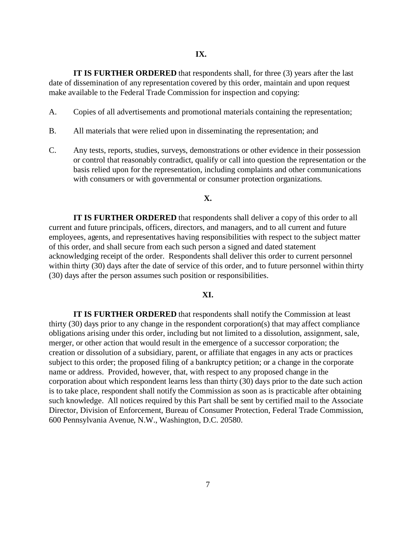**IT IS FURTHER ORDERED** that respondents shall, for three (3) years after the last date of dissemination of any representation covered by this order, maintain and upon request make available to the Federal Trade Commission for inspection and copying:

- A. Copies of all advertisements and promotional materials containing the representation;
- B. All materials that were relied upon in disseminating the representation; and
- C. Any tests, reports, studies, surveys, demonstrations or other evidence in their possession or control that reasonably contradict, qualify or call into question the representation or the basis relied upon for the representation, including complaints and other communications with consumers or with governmental or consumer protection organizations.

## **X.**

**IT IS FURTHER ORDERED** that respondents shall deliver a copy of this order to all current and future principals, officers, directors, and managers, and to all current and future employees, agents, and representatives having responsibilities with respect to the subject matter of this order, and shall secure from each such person a signed and dated statement acknowledging receipt of the order. Respondents shall deliver this order to current personnel within thirty (30) days after the date of service of this order, and to future personnel within thirty (30) days after the person assumes such position or responsibilities.

#### **XI.**

**IT IS FURTHER ORDERED** that respondents shall notify the Commission at least thirty (30) days prior to any change in the respondent corporation(s) that may affect compliance obligations arising under this order, including but not limited to a dissolution, assignment, sale, merger, or other action that would result in the emergence of a successor corporation; the creation or dissolution of a subsidiary, parent, or affiliate that engages in any acts or practices subject to this order; the proposed filing of a bankruptcy petition; or a change in the corporate name or address. Provided, however, that, with respect to any proposed change in the corporation about which respondent learns less than thirty (30) days prior to the date such action is to take place, respondent shall notify the Commission as soon as is practicable after obtaining such knowledge. All notices required by this Part shall be sent by certified mail to the Associate Director, Division of Enforcement, Bureau of Consumer Protection, Federal Trade Commission, 600 Pennsylvania Avenue, N.W., Washington, D.C. 20580.